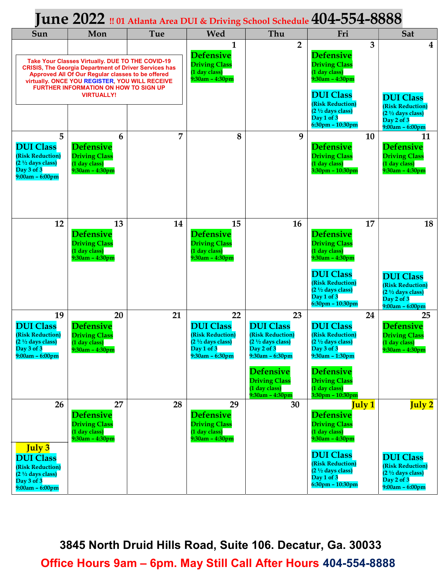## $J$ une  $2022$  !! 01 Atlanta Area DUI & Driving School Schedule  $404$ -554-8888

| Sun                                                                                                                                                                                                                                                                                   | Mon                                                                                      | Tue            | Wed                                                                                                               | Thu                                                                                                                                                                                                | Fri                                                                                                                                                                                                  | Sat                                                                                                             |
|---------------------------------------------------------------------------------------------------------------------------------------------------------------------------------------------------------------------------------------------------------------------------------------|------------------------------------------------------------------------------------------|----------------|-------------------------------------------------------------------------------------------------------------------|----------------------------------------------------------------------------------------------------------------------------------------------------------------------------------------------------|------------------------------------------------------------------------------------------------------------------------------------------------------------------------------------------------------|-----------------------------------------------------------------------------------------------------------------|
| Take Your Classes Virtually. DUE TO THE COVID-19<br><b>CRISIS, The Georgia Department of Driver Services has</b><br>Approved All Of Our Regular classes to be offered<br>virtually. ONCE YOU REGISTER, YOU WILL RECEIVE<br>FURTHER INFORMATION ON HOW TO SIGN UP<br><b>VIRTUALLY!</b> |                                                                                          |                | $\mathbf{1}$<br><b>Defensive</b><br><b>Driving Class</b><br>(1 day class)<br>$9:30am - 4:30pm$                    | $\overline{2}$                                                                                                                                                                                     | 3<br><b>Defensive</b><br><b>Driving Class</b><br>(1 day class)<br>$9:30am - 4:30pm$<br><b>DUI Class</b><br><b>(Risk Reduction)</b><br>$(2 \frac{1}{2}$ days class)<br>Day 1 of 3<br>6:30pm - 10:30pm | 4<br><b>DUI Class</b><br>(Risk Reduction)<br>$(2 \frac{1}{2}$ days class)<br>Day 2 of 3<br>$9:00am - 6:00pm$    |
| 5<br><b>DUI Class</b><br>(Risk Reduction)<br>$(2\frac{1}{2}$ days class)<br>Day 3 of 3<br>$9:00am - 6:00pm$                                                                                                                                                                           | 6<br><b>Defensive</b><br><b>Driving Class</b><br>(1 day class)<br>$9:30am - 4:30pm$      | $\overline{7}$ | 8                                                                                                                 | 9                                                                                                                                                                                                  | 10<br><b>Defensive</b><br><b>Driving Class</b><br>(1 day class)<br>3:30pm - 10:30pm                                                                                                                  | 11<br><b>Defensive</b><br><b>Driving Class</b><br>(1 day class)<br>$9:30$ am – $4:30$ pm                        |
| 12                                                                                                                                                                                                                                                                                    | 13<br><b>Defensive</b><br><b>Driving Class</b><br>(1 day class)<br>$9:30$ am - $4:30$ pm | 14             | 15<br><b>Defensive</b><br><b>Driving Class</b><br>(1 day class)<br>$9:30am - 4:30pm$                              | 16                                                                                                                                                                                                 | 17<br><b>Defensive</b><br><b>Driving Class</b><br>(1 day class)<br>$9:30$ am - $4:30$ pm<br><b>DUI Class</b><br>(Risk Reduction)<br>(2 1/2 days class)<br>Day 1 of 3<br>$6:30$ pm - 10:30pm          | 18<br><b>DUI Class</b><br>(Risk Reduction)<br>$(2 \frac{1}{2}$ days class)<br>Day 2 of 3<br>$9:00am - 6:00pm$   |
| 19<br><b>DUI Class</b><br>(Risk Reduction)<br>$(2\frac{1}{2}$ days class)<br>Day 3 of 3<br>$9:00am - 6:00pm$                                                                                                                                                                          | 20<br><b>Defensive</b><br><b>Driving Class</b><br>(1 day class)<br>$9:30am - 4:30pm$     | 21             | 22<br><b>DUI Class</b><br>(Risk Reduction)<br>$(2 \frac{1}{2}$ days class)<br>Day 1 of 3<br>$9:30$ am – $6:30$ pm | 23<br><b>DUI Class</b><br>(Risk Reduction)<br>$(21/2 days class)$<br>Day $2$ of $3$<br>$9:30$ am – $6:30$ pm<br><b>Defensive</b><br><b>Driving Class</b><br>(1 day class)<br>$9:30$ am - $4:30$ pm | 24<br><b>DUI Class</b><br>(Risk Reduction)<br>$(2 \frac{1}{2}$ days class)<br>Day 3 of 3<br>9:30am - 1:30pm<br><b>Defensive</b><br><b>Driving Class</b><br>$(1$ day class)<br>3:30pm - 10:30pm       | 25<br><b>Defensive</b><br><b>Driving Class</b><br>(1 day class)<br>$9:30am - 4:30pm$                            |
| 26<br><b>July 3</b><br><b>DUI Class</b><br>(Risk Reduction)<br>$(2 \frac{1}{2}$ days class)<br>Day 3 of 3<br>$9:00am - 6:00pm$                                                                                                                                                        | 27<br><b>Defensive</b><br><b>Driving Class</b><br>(1 day class)<br>$9:30$ am - $4:30$ pm | 28             | 29<br><b>Defensive</b><br><b>Driving Class</b><br>(1 day class)<br>$9:30am - 4:30pm$                              | 30                                                                                                                                                                                                 | <b>July 1</b><br><b>Defensive</b><br><b>Driving Class</b><br>(1 day class)<br>9:30am - 4:30pm<br><b>DUI Class</b><br>(Risk Reduction)<br>$(21/2 days class)$<br>Day 1 of 3<br>6:30pm - 10:30pm       | July 2<br><b>DUI Class</b><br><b>(Risk Reduction)</b><br>$(21/2 days class)$<br>Day 2 of 3<br>$9:00am - 6:00pm$ |

Office Hours 9am – 6pm. May Still Call After Hours 404-554-8888 3845 North Druid Hills Road, Suite 106. Decatur, Ga. 30033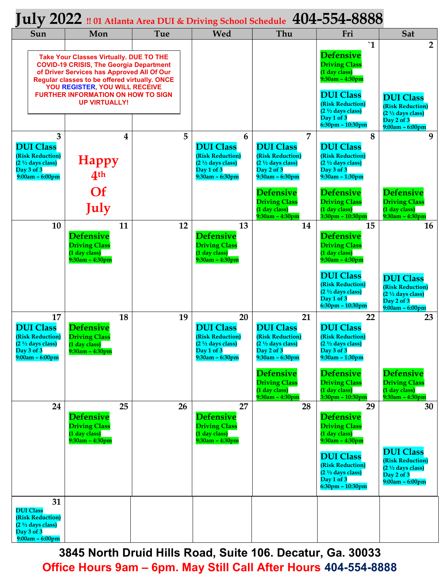## $\rm\,July$   $\rm 2022$  !! 01 Atlanta Area DUI & Driving School Schedule  $\rm\,404$ –554– $\rm 8888$

| Sun                                                                                                                                                                                                                                                                                                    | Mon                                                                                      | Tue | Wed                                                                                                               | Thu                                                                                                                                                                                                     | Fri                                                                                                                                                                                                                          | Sat                                                                                                                       |
|--------------------------------------------------------------------------------------------------------------------------------------------------------------------------------------------------------------------------------------------------------------------------------------------------------|------------------------------------------------------------------------------------------|-----|-------------------------------------------------------------------------------------------------------------------|---------------------------------------------------------------------------------------------------------------------------------------------------------------------------------------------------------|------------------------------------------------------------------------------------------------------------------------------------------------------------------------------------------------------------------------------|---------------------------------------------------------------------------------------------------------------------------|
| <b>Take Your Classes Virtually. DUE TO THE</b><br><b>COVID-19 CRISIS, The Georgia Department</b><br>of Driver Services has Approved All Of Our<br>Regular classes to be offered virtually. ONCE<br>YOU REGISTER, YOU WILL RECEIVE<br><b>FURTHER INFORMATION ON HOW TO SIGN</b><br><b>UP VIRTUALLY!</b> |                                                                                          |     |                                                                                                                   |                                                                                                                                                                                                         | $\mathbf{1}$<br><b>Defensive</b><br><b>Driving Class</b><br>(1 day class)<br>$9:30$ am - $4:30$ pm<br><b>DUI Class</b><br>(Risk Reduction)<br>$(2 \frac{1}{2}$ days class)<br>Day 1 of 3<br>6:30pm - 10:30pm                 | $\overline{2}$<br><b>DUI Class</b><br>(Risk Reduction)<br>$(2 \frac{1}{2}$ days class)<br>Day 2 of 3<br>$9:00am - 6:00pm$ |
| 3<br><b>DUI Class</b><br>(Risk Reduction)<br>$(2 \frac{1}{2}$ days class)<br>Day 3 of 3<br>$9:00am - 6:00pm$                                                                                                                                                                                           | 4<br><b>Happy</b><br>4 <sup>th</sup><br><b>Of</b><br>July                                | 5   | 6<br><b>DUI Class</b><br>(Risk Reduction)<br>$(2 \frac{1}{2}$ days class)<br>Day 1 of 3<br>$9:30$ am - $6:30$ pm  | $\overline{7}$<br><b>DUI Class</b><br>(Risk Reduction)<br>$(2 \frac{1}{2}$ days class)<br>Day 2 of 3<br>9:30am - 6:30pm<br><b>Defensive</b><br><b>Driving Class</b><br>(1 day class)                    | 8<br><b>DUI Class</b><br>(Risk Reduction)<br>$(2 \frac{1}{2}$ days class)<br>Day $3$ of $3$<br>9:30am - 1:30pm<br><b>Defensive</b><br><b>Driving Class</b><br>(1 day class)                                                  | 9<br><b>Defensive</b><br><b>Driving Class</b><br>(1 day class)                                                            |
| 10                                                                                                                                                                                                                                                                                                     | 11<br><b>Defensive</b><br><b>Driving Class</b><br>(1 day class)<br>$9:30$ am - $4:30$ pm | 12  | 13<br><b>Defensive</b><br><b>Driving Class</b><br>(1 day class)<br>$9:30am - 4:30pm$                              | $9:30$ am - $4:30$ pm<br>14                                                                                                                                                                             | 3:30pm - 10:30pm<br>15<br><b>Defensive</b><br><b>Driving Class</b><br>(1 day class)<br>9:30am - 4:30pm<br><b>DUI Class</b><br>(Risk Reduction)<br>$(2 \frac{1}{2}$ days class)<br>Day 1 of 3                                 | $9:30$ am - $4:30$ pm<br>16<br><b>DUI Class</b><br>(Risk Reduction)<br>$(2 \frac{1}{2}$ days class)<br>Day 2 of 3         |
| 17<br><b>DUI Class</b><br>(Risk Reduction)<br>$(2 \frac{1}{2}$ days class)<br>Day 3 of 3<br>$9:00am - 6:00pm$                                                                                                                                                                                          | 18<br><b>Defensive</b><br><b>Driving Class</b><br>(1 day class)<br>$9:30$ am – $4:30$ pm | 19  | 20<br><b>DUI Class</b><br>(Risk Reduction)<br>$(2 \frac{1}{2}$ days class)<br>Day $1$ of $3$<br>$9:30am - 6:30pm$ | 21<br><b>DUI Class</b><br>(Risk Reduction)<br>$(2 \frac{1}{2}$ days class)<br>Day 2 of 3<br>$9:30$ am - $6:30$ pm<br><b>Defensive</b><br><b>Driving Class</b><br>(1 day class)<br>$9:30$ am - $4:30$ pm | $6:30$ pm - $10:30$ pm<br>22<br><b>DUI Class</b><br>(Risk Reduction)<br>$(2 \frac{1}{2}$ days class)<br>Day 3 of 3<br>9:30am - 1:30pm<br><b>Defensive</b><br><b>Driving Class</b><br>(1 day class)<br>$3:30$ pm - $10:30$ pm | $9:00am - 6:00pm$<br>23<br><b>Defensive</b><br><b>Driving Class</b><br>(1 day class)<br>$9:30$ am - $4:30$ pm             |
| 24                                                                                                                                                                                                                                                                                                     | 25<br><b>Defensive</b><br><b>Driving Class</b><br>(1 day class)<br>$9:30$ am - $4:30$ pm | 26  | 27<br><b>Defensive</b><br><b>Driving Class</b><br>(1 day class)<br>$9:30$ am - $4:30$ pm                          | 28                                                                                                                                                                                                      | 29<br><b>Defensive</b><br><b>Driving Class</b><br>(1 day class)<br>9:30am - 4:30pm<br><b>DUI Class</b><br>(Risk Reduction)<br>$(21/2 days class)$<br>Day 1 of 3<br>$6:30$ pm - 10:30pm                                       | 30<br><b>DUI Class</b><br>(Risk Reduction)<br>$(2 \frac{1}{2}$ days class)<br>Day 2 of 3<br>$9:00am - 6:00pm$             |
| 31<br><b>DUI Class</b><br>(Risk Reduction)<br>$(2 \frac{1}{2}$ days class)<br>Day 3 of 3<br>$9:00am - 6:00pm$                                                                                                                                                                                          |                                                                                          |     |                                                                                                                   |                                                                                                                                                                                                         |                                                                                                                                                                                                                              |                                                                                                                           |

3845 North Druid Hills Road, Suite 106. Decatur, Ga. 30033 Office Hours 9am – 6pm. May Still Call After Hours 404-554-8888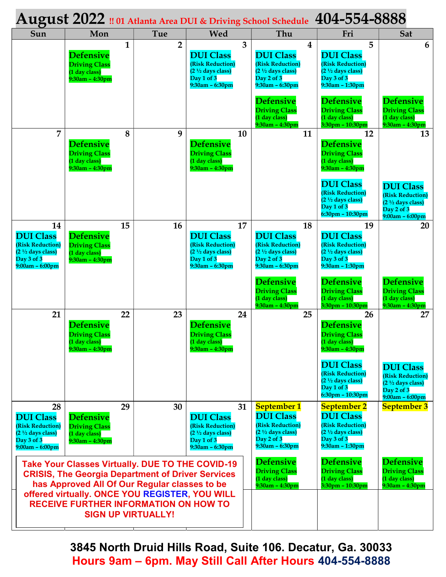| August 2022 !! 01 Atlanta Area DUI & Driving School Schedule 404-554-8888                                                                                            |                                                                                    |              |                |                                                                                                                    |                                                                                    |                                                                                                                                  |                                                                                                                      |                                                                                                         |
|----------------------------------------------------------------------------------------------------------------------------------------------------------------------|------------------------------------------------------------------------------------|--------------|----------------|--------------------------------------------------------------------------------------------------------------------|------------------------------------------------------------------------------------|----------------------------------------------------------------------------------------------------------------------------------|----------------------------------------------------------------------------------------------------------------------|---------------------------------------------------------------------------------------------------------|
| Sun                                                                                                                                                                  | Mon                                                                                |              | Tue            | Wed                                                                                                                |                                                                                    | Thu                                                                                                                              | Fri                                                                                                                  | <b>Sat</b>                                                                                              |
|                                                                                                                                                                      | <b>Defensive</b><br><b>Driving Class</b><br>(1 day class)<br>$9:30am - 4:30pm$     | $\mathbf{1}$ | $\overline{2}$ | <b>DUI Class</b><br>(Risk Reduction)<br>$(2 \frac{1}{2}$ days class)<br>Day 1 of 3<br>$9:30$ am – $6:30$ pm        | 3                                                                                  | $\boldsymbol{4}$<br><b>DUI Class</b><br><b>(Risk Reduction)</b><br>$(2 \frac{1}{2}$ days class)<br>Day 2 of 3<br>9:30am - 6:30pm | 5<br><b>DUI Class</b><br>(Risk Reduction)<br>$(2 \frac{1}{2}$ days class)<br>Day 3 of 3<br>$9:30$ am - 1:30pm        | 6                                                                                                       |
|                                                                                                                                                                      |                                                                                    |              |                |                                                                                                                    |                                                                                    | <b>Defensive</b><br><b>Driving Class</b><br>(1 day class)<br>$9:30$ am - $4:30$ pm                                               | <b>Defensive</b><br><b>Driving Class</b><br>(1 day class)<br>3:30pm - 10:30pm                                        | <b>Defensive</b><br><b>Driving Class</b><br>(1 day class)<br>9:30am - 4:30pm                            |
| 7                                                                                                                                                                    | <b>Defensive</b><br><b>Driving Class</b><br>(1 day class)<br>$9:30$ am - $4:30$ pm | 8            | 9              | <b>Defensive</b><br><b>Driving Class</b><br>(1 day class)<br>$9:30$ am - $4:30$ pm                                 | 10                                                                                 | 11                                                                                                                               | 12<br><b>Defensive</b><br><b>Driving Class</b><br>(1 day class)<br>$9:30$ am - $4:30$ pm                             | 13                                                                                                      |
|                                                                                                                                                                      |                                                                                    |              |                |                                                                                                                    |                                                                                    |                                                                                                                                  | <b>DUI Class</b><br>(Risk Reduction)<br>$(2 \frac{1}{2}$ days class)<br>Day $1$ of $3$<br>$6:30$ pm - 10:30pm        | <b>DUI Class</b><br>(Risk Reduction)<br>$(2 \frac{1}{2}$ days class)<br>Day 2 of 3<br>$9:00am - 6:00pm$ |
| 14<br><b>DUI Class</b><br>(Risk Reduction)<br>$(2 \frac{1}{2}$ days class)<br>Day 3 of 3<br>9:00am – 6:00pm                                                          | <b>Defensive</b><br><b>Driving Class</b><br>(1 day class)<br>$9:30$ am - $4:30$ pm | 15           | 16             | <b>DUI Class</b><br>(Risk Reduction)<br>$(2 \frac{1}{2}$ days class)<br>Day 1 of 3<br>$9:30$ am – $6:30$ pm        | 17                                                                                 | 18<br><b>DUI Class</b><br>(Risk Reduction)<br>$(2 \frac{1}{2}$ days class)<br>Day 2 of 3<br>9:30am - 6:30pm                      | 19<br><b>DUI Class</b><br>(Risk Reduction)<br>$(2 \frac{1}{2}$ days class)<br>Day 3 of 3<br>9:30am - 1:30pm          | 20                                                                                                      |
|                                                                                                                                                                      |                                                                                    |              |                |                                                                                                                    |                                                                                    | <b>Defensive</b><br><b>Driving Class</b><br>(1 day class)<br>$9:30$ am - $4:30$ pm                                               | <b>Defensive</b><br><b>Driving Class</b><br>(1 day class)<br>3:30pm - 10:30pm                                        | <b>Defensive</b><br><b>Driving Class</b><br>(1 day class)<br>$9:30$ am - $4:30$ pm                      |
| 21                                                                                                                                                                   | <b>Defensive</b><br><b>Driving Class</b><br>(1 day class)<br>$9:30am - 4:30pm$     | 22           | 23             | <b>Defensive</b><br><b>Driving Class</b><br>(1 day class)<br>$9:30am - 4:30pm$                                     | 24                                                                                 | 25                                                                                                                               | 26<br><b>Defensive</b><br><b>Driving Class</b><br>(1 day class)<br>$9:30am - 4:30pm$                                 | 27                                                                                                      |
|                                                                                                                                                                      |                                                                                    |              |                |                                                                                                                    |                                                                                    |                                                                                                                                  | <b>DUI Class</b><br>(Risk Reduction)<br>$(2 \frac{1}{2}$ days class)<br>Day 1 of 3<br>6:30pm - 10:30pm               | <b>DUI Class</b><br>(Risk Reduction)<br>$(2 \frac{1}{2}$ days class)<br>Day 2 of 3<br>$9:00am - 6:00pm$ |
| 28<br><b>DUI Class</b><br><b>(Risk Reduction)</b><br>$(2 \frac{1}{2}$ days class)<br>Day 3 of 3<br>$9:00am - 6:00pm$                                                 | <b>Defensive</b><br><b>Driving Class</b><br>(1 day class)<br>$9:30$ am - $4:30$ pm | 29           | 30             | <b>DUI Class</b><br><b>(Risk Reduction)</b><br>$(2 \frac{1}{2}$ days class)<br>Day 1 of 3<br>$9:30$ am – $6:30$ pm | 31                                                                                 | <b>September 1</b><br><b>DUI Class</b><br>(Risk Reduction)<br>$(21/2 days class)$<br>Day 2 of 3<br>$9:30$ am – $6:30$ pm         | <b>September 2</b><br><b>DUI Class</b><br>(Risk Reduction)<br>$(21/2 days class)$<br>Day 3 of 3<br>$9:30am - 1:30pm$ | <b>September 3</b>                                                                                      |
| <b>Take Your Classes Virtually. DUE TO THE COVID-19</b><br><b>CRISIS, The Georgia Department of Driver Services</b><br>has Approved All Of Our Regular classes to be |                                                                                    |              |                |                                                                                                                    | <b>Defensive</b><br><b>Driving Class</b><br>(1 day class)<br>$9:30$ am – $4:30$ pm | <b>Defensive</b><br><b>Driving Class</b><br>(1 day class)<br>$3:30$ pm – $10:30$ pm                                              | <b>Defensive</b><br><b>Driving Class</b><br>(1 day class)<br>$9:30$ am - $4:30$ pm                                   |                                                                                                         |
| offered virtually. ONCE YOU REGISTER, YOU WILL<br><b>RECEIVE FURTHER INFORMATION ON HOW TO</b><br><b>SIGN UP VIRTUALLY!</b>                                          |                                                                                    |              |                |                                                                                                                    |                                                                                    |                                                                                                                                  |                                                                                                                      |                                                                                                         |

3845 North Druid Hills Road, Suite 106. Decatur, Ga. 30033 Hours 9am – 6pm. May Still Call After Hours 404-554-8888